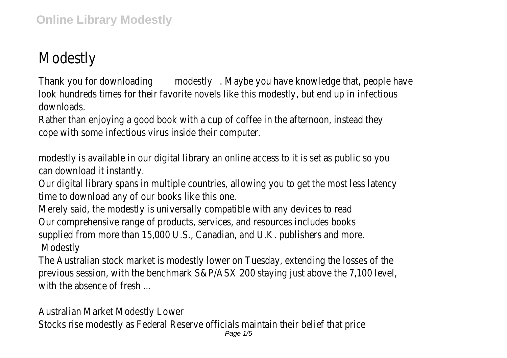## Modestly

Thank you for downloading modestly . Maybe you have knowledge that, people have look hundreds times for their favorite novels like this modestly, but end up in infectious downloads.

Rather than enjoying a good book with a cup of coffee in the afternoon, instead they cope with some infectious virus inside their computer.

modestly is available in our digital library an online access to it is set as public so you can download it instantly.

Our digital library spans in multiple countries, allowing you to get the most less latency time to download any of our books like this one.

Merely said, the modestly is universally compatible with any devices to read Our comprehensive range of products, services, and resources includes books supplied from more than 15,000 U.S., Canadian, and U.K. publishers and more. Modestly

The Australian stock market is modestly lower on Tuesday, extending the losses of the previous session, with the benchmark S&P/ASX 200 staying just above the 7,100 level, with the absence of fresh

Australian Market Modestly Lower

Stocks rise modestly as Federal Reserve officials maintain their belief that price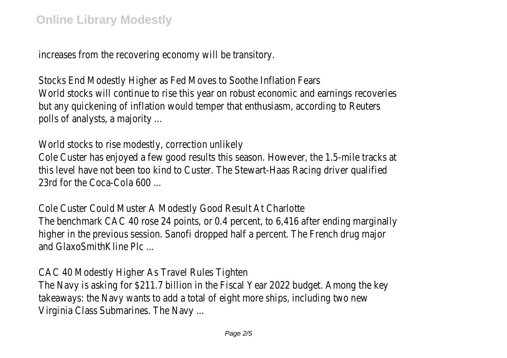increases from the recovering economy will be transitory.

Stocks End Modestly Higher as Fed Moves to Soothe Inflation Fears World stocks will continue to rise this year on robust economic and earnings recoveries but any quickening of inflation would temper that enthusiasm, according to Reuters polls of analysts, a majority ...

World stocks to rise modestly, correction unlikely

Cole Custer has enjoyed a few good results this season. However, the 1.5-mile tracks at this level have not been too kind to Custer. The Stewart-Haas Racing driver qualified 23rd for the Coca-Cola 600

Cole Custer Could Muster A Modestly Good Result At Charlotte The benchmark CAC 40 rose 24 points, or 0.4 percent, to 6,416 after ending marginally higher in the previous session. Sanofi dropped half a percent. The French drug major and GlaxoSmithKline Plc ...

CAC 40 Modestly Higher As Travel Rules Tighten The Navy is asking for \$211.7 billion in the Fiscal Year 2022 budget. Among the key takeaways: the Navy wants to add a total of eight more ships, including two new Virginia Class Submarines. The Navy ...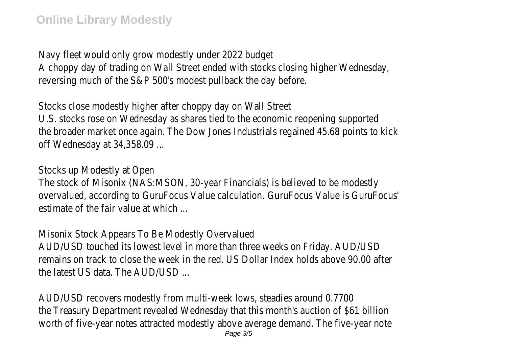Navy fleet would only grow modestly under 2022 budget A choppy day of trading on Wall Street ended with stocks closing higher Wednesday, reversing much of the S&P 500's modest pullback the day before.

Stocks close modestly higher after choppy day on Wall Street U.S. stocks rose on Wednesday as shares tied to the economic reopening supported the broader market once again. The Dow Jones Industrials regained 45.68 points to kick off Wednesday at 34,358.09 ...

Stocks up Modestly at Open

The stock of Misonix (NAS:MSON, 30-year Financials) is believed to be modestly overvalued, according to GuruFocus Value calculation. GuruFocus Value is GuruFocus' estimate of the fair value at which

Misonix Stock Appears To Be Modestly Overvalued

AUD/USD touched its lowest level in more than three weeks on Friday. AUD/USD remains on track to close the week in the red. US Dollar Index holds above 90.00 after the latest US data. The AUD/USD ...

AUD/USD recovers modestly from multi-week lows, steadies around 0.7700 the Treasury Department revealed Wednesday that this month's auction of \$61 billion worth of five-year notes attracted modestly above average demand. The five-year note Page 3/5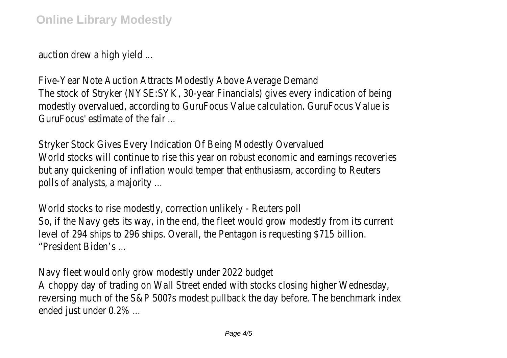auction drew a high yield ...

Five-Year Note Auction Attracts Modestly Above Average Demand The stock of Stryker (NYSE:SYK, 30-year Financials) gives every indication of being modestly overvalued, according to GuruFocus Value calculation. GuruFocus Value is GuruFocus' estimate of the fair ...

Stryker Stock Gives Every Indication Of Being Modestly Overvalued World stocks will continue to rise this year on robust economic and earnings recoveries but any quickening of inflation would temper that enthusiasm, according to Reuters polls of analysts, a majority ...

World stocks to rise modestly, correction unlikely - Reuters poll So, if the Navy gets its way, in the end, the fleet would grow modestly from its current level of 294 ships to 296 ships. Overall, the Pentagon is requesting \$715 billion. "President Biden's ...

Navy fleet would only grow modestly under 2022 budget A choppy day of trading on Wall Street ended with stocks closing higher Wednesday, reversing much of the S&P 500?s modest pullback the day before. The benchmark index ended just under 0.2% ...